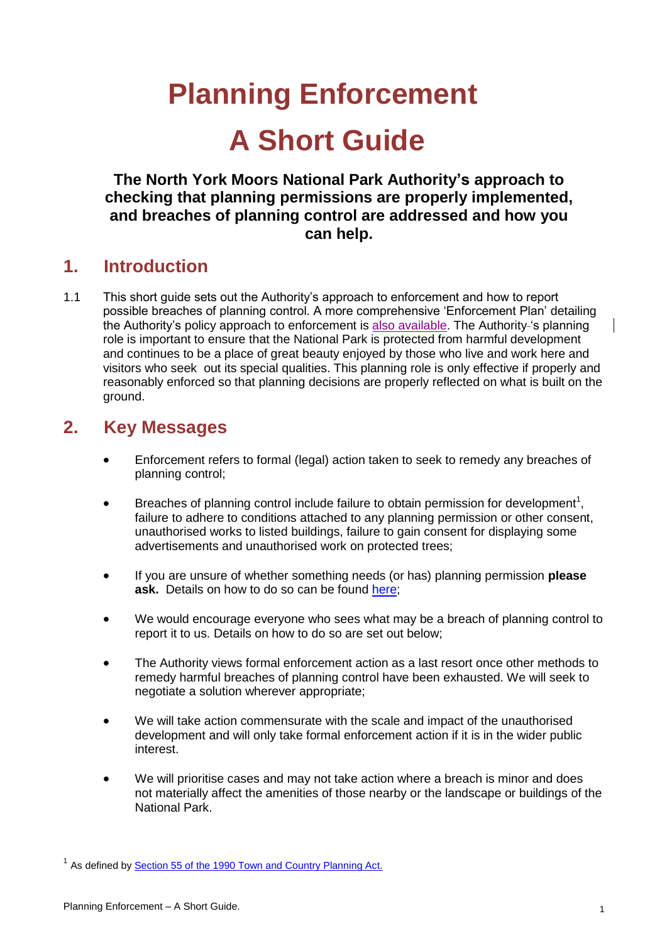# **Planning Enforcement A Short Guide**

**The North York Moors National Park Authority's approach to checking that planning permissions are properly implemented, and breaches of planning control are addressed and how you can help.**

#### **1. Introduction**

1.1 This short guide sets out the Authority's approach to enforcement and how to report possible breaches of planning control. A more comprehensive 'Enforcement Plan' detailing the Authority's policy approach to enforcement is [also available.](https://www.northyorkmoors.org.uk/cn/planning/enforcement/Enforcement_Plan_Feb2021_FINAL.pdf) The Authority-'s planning role is important to ensure that the National Park is protected from harmful development and continues to be a place of great beauty enjoyed by those who live and work here and visitors who seek out its special qualities. This planning role is only effective if properly and reasonably enforced so that planning decisions are properly reflected on what is built on the ground.

# **2. Key Messages**

- Enforcement refers to formal (legal) action taken to seek to remedy any breaches of planning control;
- $\bullet$  Breaches of planning control include failure to obtain permission for development<sup>1</sup>, failure to adhere to conditions attached to any planning permission or other consent, unauthorised works to listed buildings, failure to gain consent for displaying some advertisements and unauthorised work on protected trees;
- If you are unsure of whether something needs (or has) planning permission **please ask.** Details on how to do so can be found [here;](https://www.northyorkmoors.org.uk/planning/pre-application-advice)
- We would encourage everyone who sees what may be a breach of planning control to report it to us. Details on how to do so are set out below;
- The Authority views formal enforcement action as a last resort once other methods to remedy harmful breaches of planning control have been exhausted. We will seek to negotiate a solution wherever appropriate;
- We will take action commensurate with the scale and impact of the unauthorised development and will only take formal enforcement action if it is in the wider public interest.
- We will prioritise cases and may not take action where a breach is minor and does not materially affect the amenities of those nearby or the landscape or buildings of the National Park.

<sup>&</sup>lt;sup>1</sup> As defined by **Section 55 of the 1990 Town and Country Planning Act.**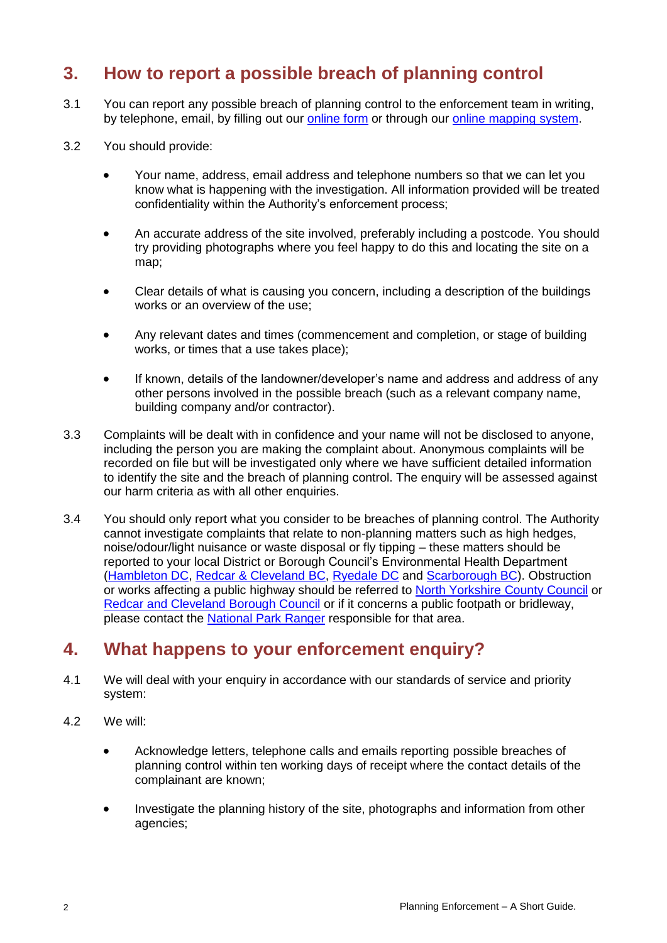# **3. How to report a possible breach of planning control**

- 3.1 You can report any possible breach of planning control to the enforcement team in writing, by telephone, email, by filling out our [online form](https://www.northyorkmoors.org.uk/planning/enforcement/enforcement-form) or through our [online mapping system.](https://www.northyorkmoors.org.uk/planning/planning-applications/application-search-map)
- 3.2 You should provide:
	- Your name, address, email address and telephone numbers so that we can let you know what is happening with the investigation. All information provided will be treated confidentiality within the Authority's enforcement process;
	- An accurate address of the site involved, preferably including a postcode. You should try providing photographs where you feel happy to do this and locating the site on a map;
	- Clear details of what is causing you concern, including a description of the buildings works or an overview of the use;
	- Any relevant dates and times (commencement and completion, or stage of building works, or times that a use takes place);
	- If known, details of the landowner/developer's name and address and address of any other persons involved in the possible breach (such as a relevant company name, building company and/or contractor).
- 3.3 Complaints will be dealt with in confidence and your name will not be disclosed to anyone, including the person you are making the complaint about. Anonymous complaints will be recorded on file but will be investigated only where we have sufficient detailed information to identify the site and the breach of planning control. The enquiry will be assessed against our harm criteria as with all other enquiries.
- 3.4 You should only report what you consider to be breaches of planning control. The Authority cannot investigate complaints that relate to non-planning matters such as high hedges, noise/odour/light nuisance or waste disposal or fly tipping – these matters should be reported to your local District or Borough Council's Environmental Health Department [\(Hambleton](https://hambletondc-self.achieveservice.com/service/Environmental_health_issue_report) DC, [Redcar & Cleveland](https://www.redcar-cleveland.gov.uk/business/health-and-safety/environmentalhealth/Pages/environmental-health.aspx) BC, [Ryedale DC](https://www.ryedale.gov.uk/environment.html) and [Scarborough](https://www.scarborough.gov.uk/home/environment) BC). Obstruction or works affecting a public highway should be referred to [North Yorkshire](https://www.northyorks.gov.uk/road-obstructions-and-spillages) County Council or [Redcar and Cleveland Borough Council](https://www.redcar-cleveland.gov.uk/resident/contact-us/Pages/How-To-Contact-Us.aspx) or if it concerns a public footpath or bridleway, please contact the [National Park Ranger](https://www.northyorkmoors.org.uk/about-us/how-the-authority-works/the-staff/rangers-areas) responsible for that area.

# **4. What happens to your enforcement enquiry?**

- 4.1 We will deal with your enquiry in accordance with our standards of service and priority system:
- 4.2 We will:
	- Acknowledge letters, telephone calls and emails reporting possible breaches of planning control within ten working days of receipt where the contact details of the complainant are known;
	- Investigate the planning history of the site, photographs and information from other agencies;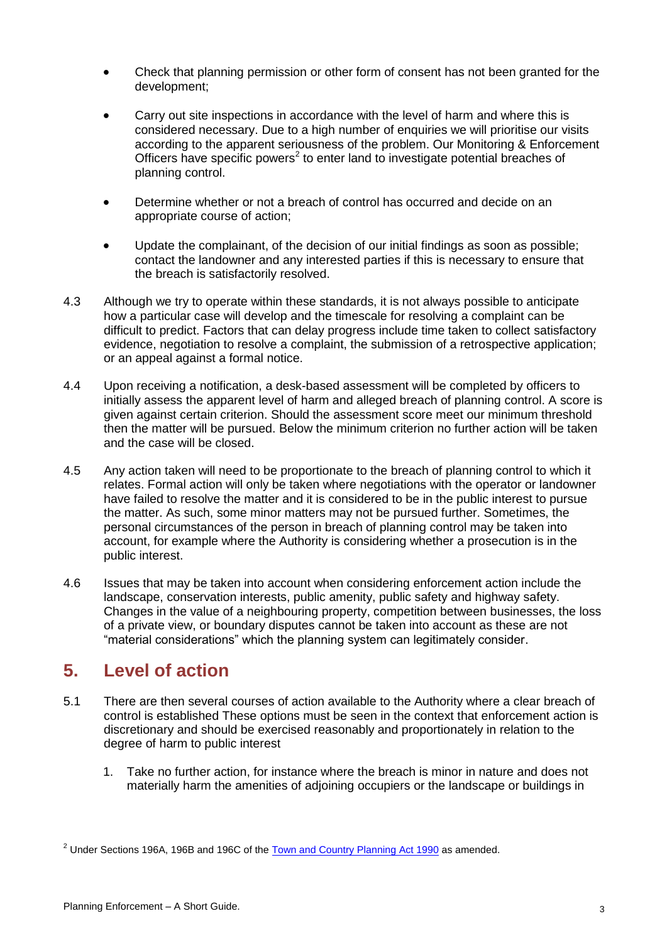- Check that planning permission or other form of consent has not been granted for the development;
- Carry out site inspections in accordance with the level of harm and where this is considered necessary. Due to a high number of enquiries we will prioritise our visits according to the apparent seriousness of the problem. Our Monitoring & Enforcement Officers have specific powers<sup>2</sup> to enter land to investigate potential breaches of planning control.
- Determine whether or not a breach of control has occurred and decide on an appropriate course of action;
- Update the complainant, of the decision of our initial findings as soon as possible; contact the landowner and any interested parties if this is necessary to ensure that the breach is satisfactorily resolved.
- 4.3 Although we try to operate within these standards, it is not always possible to anticipate how a particular case will develop and the timescale for resolving a complaint can be difficult to predict. Factors that can delay progress include time taken to collect satisfactory evidence, negotiation to resolve a complaint, the submission of a retrospective application; or an appeal against a formal notice.
- 4.4 Upon receiving a notification, a desk-based assessment will be completed by officers to initially assess the apparent level of harm and alleged breach of planning control. A score is given against certain criterion. Should the assessment score meet our minimum threshold then the matter will be pursued. Below the minimum criterion no further action will be taken and the case will be closed.
- 4.5 Any action taken will need to be proportionate to the breach of planning control to which it relates. Formal action will only be taken where negotiations with the operator or landowner have failed to resolve the matter and it is considered to be in the public interest to pursue the matter. As such, some minor matters may not be pursued further. Sometimes, the personal circumstances of the person in breach of planning control may be taken into account, for example where the Authority is considering whether a prosecution is in the public interest.
- 4.6 Issues that may be taken into account when considering enforcement action include the landscape, conservation interests, public amenity, public safety and highway safety. Changes in the value of a neighbouring property, competition between businesses, the loss of a private view, or boundary disputes cannot be taken into account as these are not "material considerations" which the planning system can legitimately consider.

## **5. Level of action**

- 5.1 There are then several courses of action available to the Authority where a clear breach of control is established These options must be seen in the context that enforcement action is discretionary and should be exercised reasonably and proportionately in relation to the degree of harm to public interest
	- 1. Take no further action, for instance where the breach is minor in nature and does not materially harm the amenities of adjoining occupiers or the landscape or buildings in

 $2$  Under Sections 196A, 196B and 196C of th[e Town and Country Planning Act 1990](http://www.legislation.gov.uk/ukpga/1990/8/contents) as amended.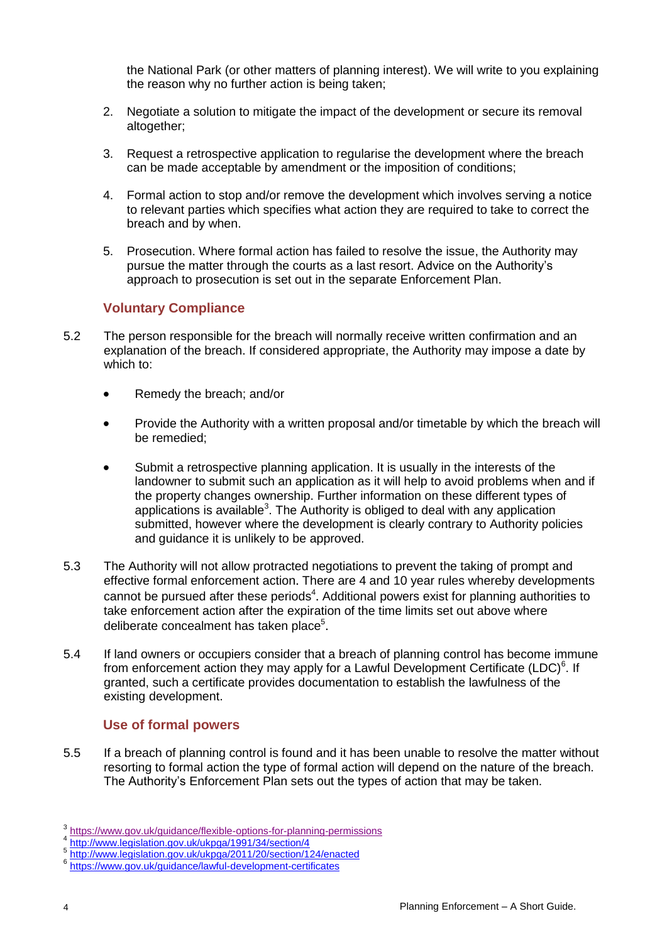the National Park (or other matters of planning interest). We will write to you explaining the reason why no further action is being taken;

- 2. Negotiate a solution to mitigate the impact of the development or secure its removal altogether;
- 3. Request a retrospective application to regularise the development where the breach can be made acceptable by amendment or the imposition of conditions;
- 4. Formal action to stop and/or remove the development which involves serving a notice to relevant parties which specifies what action they are required to take to correct the breach and by when.
- 5. Prosecution. Where formal action has failed to resolve the issue, the Authority may pursue the matter through the courts as a last resort. Advice on the Authority's approach to prosecution is set out in the separate Enforcement Plan.

#### **Voluntary Compliance**

- 5.2 The person responsible for the breach will normally receive written confirmation and an explanation of the breach. If considered appropriate, the Authority may impose a date by which to:
	- Remedy the breach; and/or
	- Provide the Authority with a written proposal and/or timetable by which the breach will be remedied;
	- Submit a retrospective planning application. It is usually in the interests of the landowner to submit such an application as it will help to avoid problems when and if the property changes ownership. Further information on these different types of applications is available<sup>3</sup>. The Authority is obliged to deal with any application submitted, however where the development is clearly contrary to Authority policies and guidance it is unlikely to be approved.
- 5.3 The Authority will not allow protracted negotiations to prevent the taking of prompt and effective formal enforcement action. There are 4 and 10 year rules whereby developments cannot be pursued after these periods<sup>4</sup>. Additional powers exist for planning authorities to take enforcement action after the expiration of the time limits set out above where deliberate concealment has taken place<sup>5</sup>.
- 5.4 If land owners or occupiers consider that a breach of planning control has become immune from enforcement action they may apply for a Lawful Development Certificate (LDC) $6$ . If granted, such a certificate provides documentation to establish the lawfulness of the existing development.

#### **Use of formal powers**

5.5 If a breach of planning control is found and it has been unable to resolve the matter without resorting to formal action the type of formal action will depend on the nature of the breach. The Authority's Enforcement Plan sets out the types of action that may be taken.

<sup>3</sup> <https://www.gov.uk/guidance/flexible-options-for-planning-permissions>

<sup>4</sup> [http://www.legislation.gov.uk/ukpga/1991/34/section/4](http://www.legislation.gov.uk/ukpga/1990/8/section/171B)

<sup>5</sup> <http://www.legislation.gov.uk/ukpga/2011/20/section/124/enacted>

<sup>6</sup> <https://www.gov.uk/guidance/lawful-development-certificates>